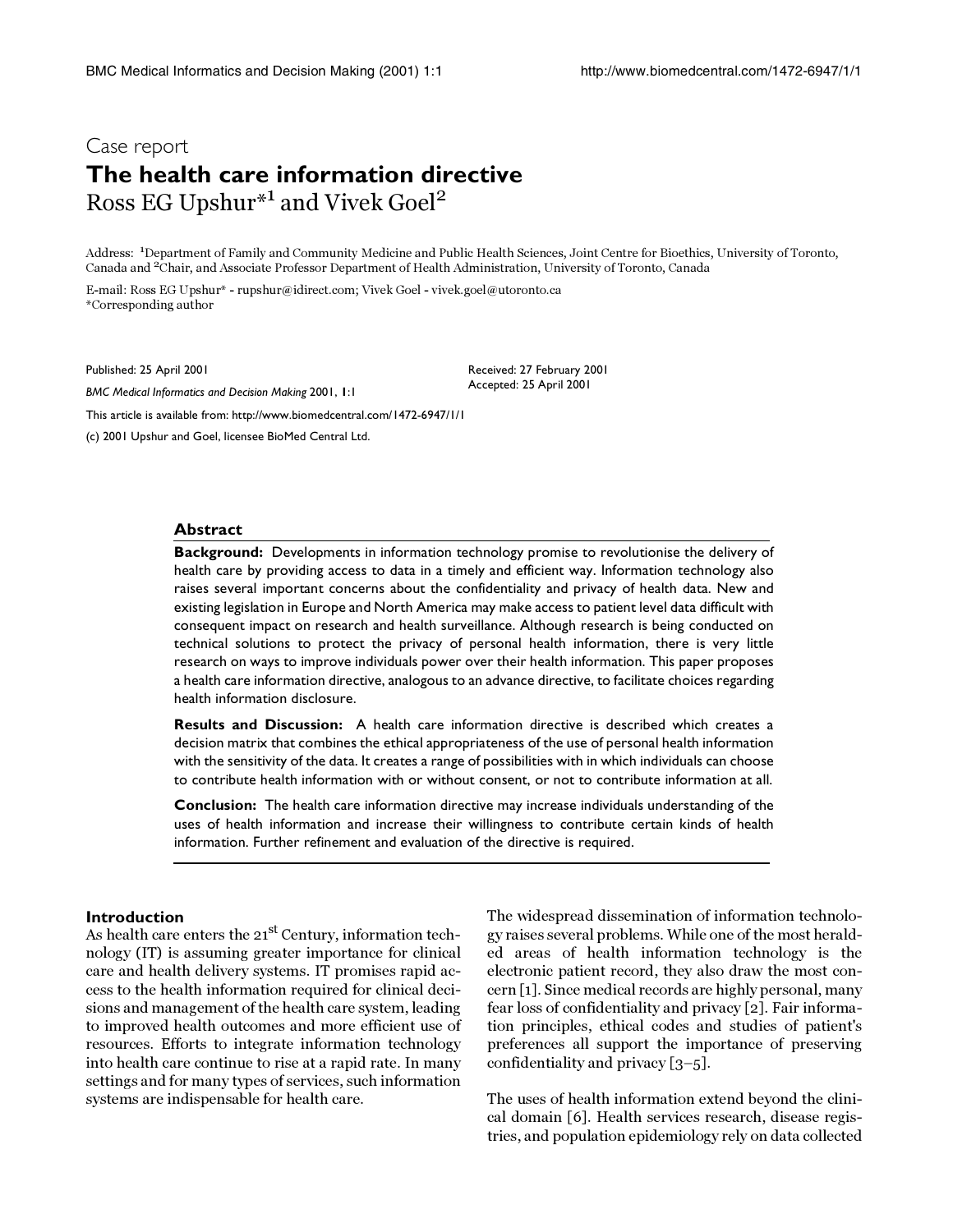# Case report **The health care information directive** Ross EG Upshur<sup>\*1</sup> and Vivek Goel<sup>2</sup>

Address: <sup>1</sup>Department of Family and Community Medicine and Public Health Sciences, Joint Centre for Bioethics, University of Toronto, Canada and 2Chair, and Associate Professor Department of Health Administration, University of Toronto, Canada

> Received: 27 February 2001 Accepted: 25 April 2001

E-mail: Ross EG Upshur\* - rupshur@idirect.com; Vivek Goel - vivek.goel@utoronto.ca \*Corresponding author

Published: 25 April 2001

*BMC Medical Informatics and Decision Making* 2001, **1**:1

[This article is available from: http://www.biomedcentral.com/1472-6947/1/1](http://www.biomedcentral.com/1472-6947/1/1)

(c) 2001 Upshur and Goel, licensee BioMed Central Ltd.

### **Abstract**

**Background:** Developments in information technology promise to revolutionise the delivery of health care by providing access to data in a timely and efficient way. Information technology also raises several important concerns about the confidentiality and privacy of health data. New and existing legislation in Europe and North America may make access to patient level data difficult with consequent impact on research and health surveillance. Although research is being conducted on technical solutions to protect the privacy of personal health information, there is very little research on ways to improve individuals power over their health information. This paper proposes a health care information directive, analogous to an advance directive, to facilitate choices regarding health information disclosure.

**Results and Discussion:** A health care information directive is described which creates a decision matrix that combines the ethical appropriateness of the use of personal health information with the sensitivity of the data. It creates a range of possibilities with in which individuals can choose to contribute health information with or without consent, or not to contribute information at all.

**Conclusion:** The health care information directive may increase individuals understanding of the uses of health information and increase their willingness to contribute certain kinds of health information. Further refinement and evaluation of the directive is required.

### **Introduction**

As health care enters the  $21<sup>st</sup>$  Century, information technology (IT) is assuming greater importance for clinical care and health delivery systems. IT promises rapid access to the health information required for clinical decisions and management of the health care system, leading to improved health outcomes and more efficient use of resources. Efforts to integrate information technology into health care continue to rise at a rapid rate. In many settings and for many types of services, such information systems are indispensable for health care.

The widespread dissemination of information technology raises several problems. While one of the most heralded areas of health information technology is the electronic patient record, they also draw the most concern [\[1\]](#page-3-0). Since medical records are highly personal, many fear loss of confidentiality and privacy [\[2](#page-3-1)]. Fair information principles, ethical codes and studies of patient's preferences all support the importance of preserving confidentiality and privacy [[3](#page-3-2)[–5](#page-3-3)].

The uses of health information extend beyond the clinical domain [\[6\]](#page-3-4). Health services research, disease registries, and population epidemiology rely on data collected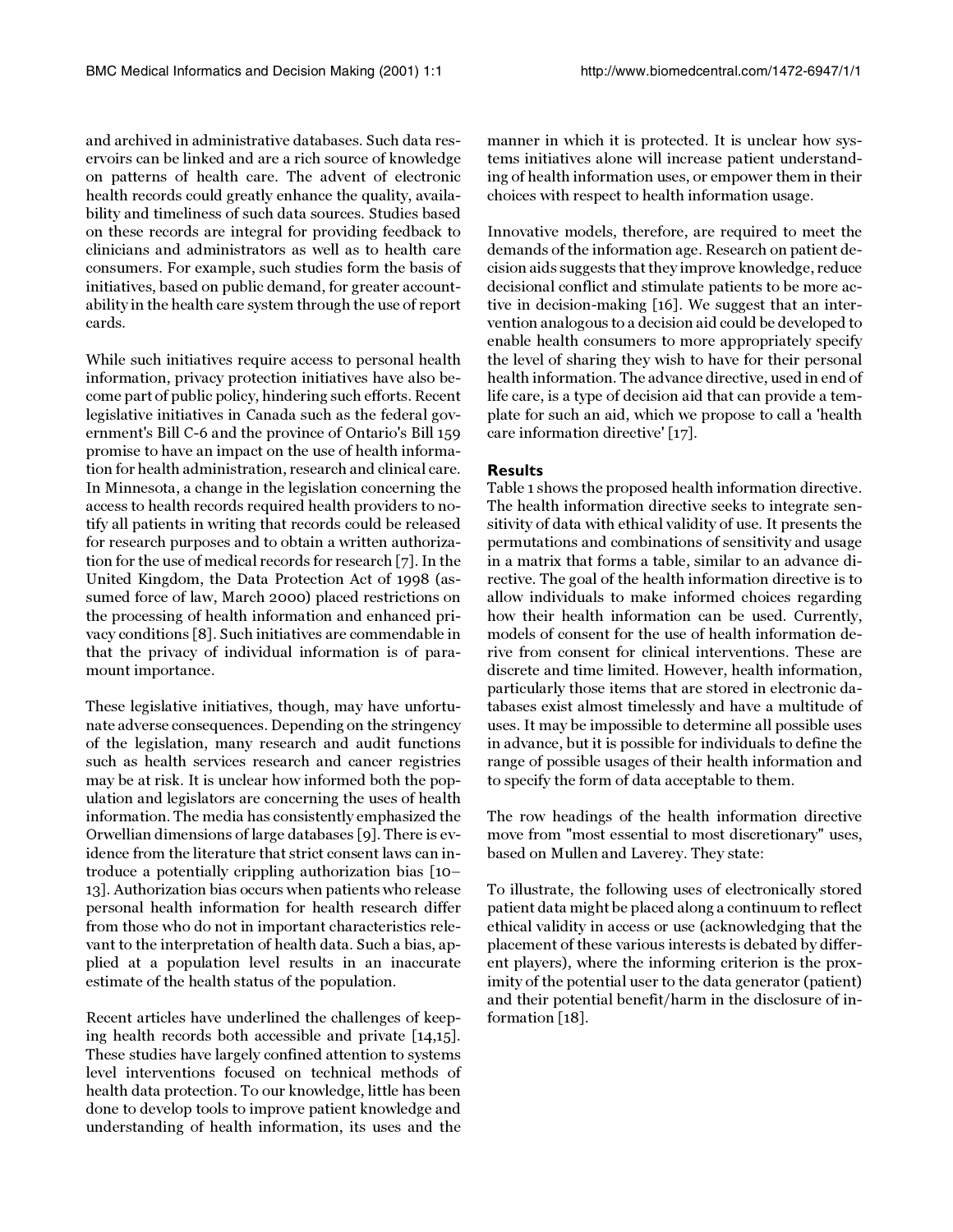and archived in administrative databases. Such data reservoirs can be linked and are a rich source of knowledge on patterns of health care. The advent of electronic health records could greatly enhance the quality, availability and timeliness of such data sources. Studies based on these records are integral for providing feedback to clinicians and administrators as well as to health care consumers. For example, such studies form the basis of initiatives, based on public demand, for greater accountability in the health care system through the use of report cards.

While such initiatives require access to personal health information, privacy protection initiatives have also become part of public policy, hindering such efforts. Recent legislative initiatives in Canada such as the federal government's Bill C-6 and the province of Ontario's Bill 159 promise to have an impact on the use of health information for health administration, research and clinical care. In Minnesota, a change in the legislation concerning the access to health records required health providers to notify all patients in writing that records could be released for research purposes and to obtain a written authorization for the use of medical records for research [[7\]](#page-3-5). In the United Kingdom, the Data Protection Act of 1998 (assumed force of law, March 2000) placed restrictions on the processing of health information and enhanced privacy conditions [\[8\]](#page-3-6). Such initiatives are commendable in that the privacy of individual information is of paramount importance.

These legislative initiatives, though, may have unfortunate adverse consequences. Depending on the stringency of the legislation, many research and audit functions such as health services research and cancer registries may be at risk. It is unclear how informed both the population and legislators are concerning the uses of health information. The media has consistently emphasized the Orwellian dimensions of large databases [\[9](#page-3-7)]. There is evidence from the literature that strict consent laws can introduce a potentially crippling authorization bias [[10](#page-3-8)[–](#page-3-9) [13\]](#page-3-9). Authorization bias occurs when patients who release personal health information for health research differ from those who do not in important characteristics relevant to the interpretation of health data. Such a bias, applied at a population level results in an inaccurate estimate of the health status of the population.

Recent articles have underlined the challenges of keeping health records both accessible and private [\[14,](#page-3-10)[15\]](#page-3-11). These studies have largely confined attention to systems level interventions focused on technical methods of health data protection. To our knowledge, little has been done to develop tools to improve patient knowledge and understanding of health information, its uses and the manner in which it is protected. It is unclear how systems initiatives alone will increase patient understanding of health information uses, or empower them in their choices with respect to health information usage.

Innovative models, therefore, are required to meet the demands of the information age. Research on patient decision aids suggests that they improve knowledge, reduce decisional conflict and stimulate patients to be more active in decision-making [[16](#page-3-12)]. We suggest that an intervention analogous to a decision aid could be developed to enable health consumers to more appropriately specify the level of sharing they wish to have for their personal health information. The advance directive, used in end of life care, is a type of decision aid that can provide a template for such an aid, which we propose to call a 'health care information directive' [[17](#page-3-13)].

### **Results**

Table [1](#page-2-0) shows the proposed health information directive. The health information directive seeks to integrate sensitivity of data with ethical validity of use. It presents the permutations and combinations of sensitivity and usage in a matrix that forms a table, similar to an advance directive. The goal of the health information directive is to allow individuals to make informed choices regarding how their health information can be used. Currently, models of consent for the use of health information derive from consent for clinical interventions. These are discrete and time limited. However, health information, particularly those items that are stored in electronic databases exist almost timelessly and have a multitude of uses. It may be impossible to determine all possible uses in advance, but it is possible for individuals to define the range of possible usages of their health information and to specify the form of data acceptable to them.

The row headings of the health information directive move from "most essential to most discretionary" uses, based on Mullen and Laverey. They state:

To illustrate, the following uses of electronically stored patient data might be placed along a continuum to reflect ethical validity in access or use (acknowledging that the placement of these various interests is debated by different players), where the informing criterion is the proximity of the potential user to the data generator (patient) and their potential benefit/harm in the disclosure of information [\[18](#page-3-14)].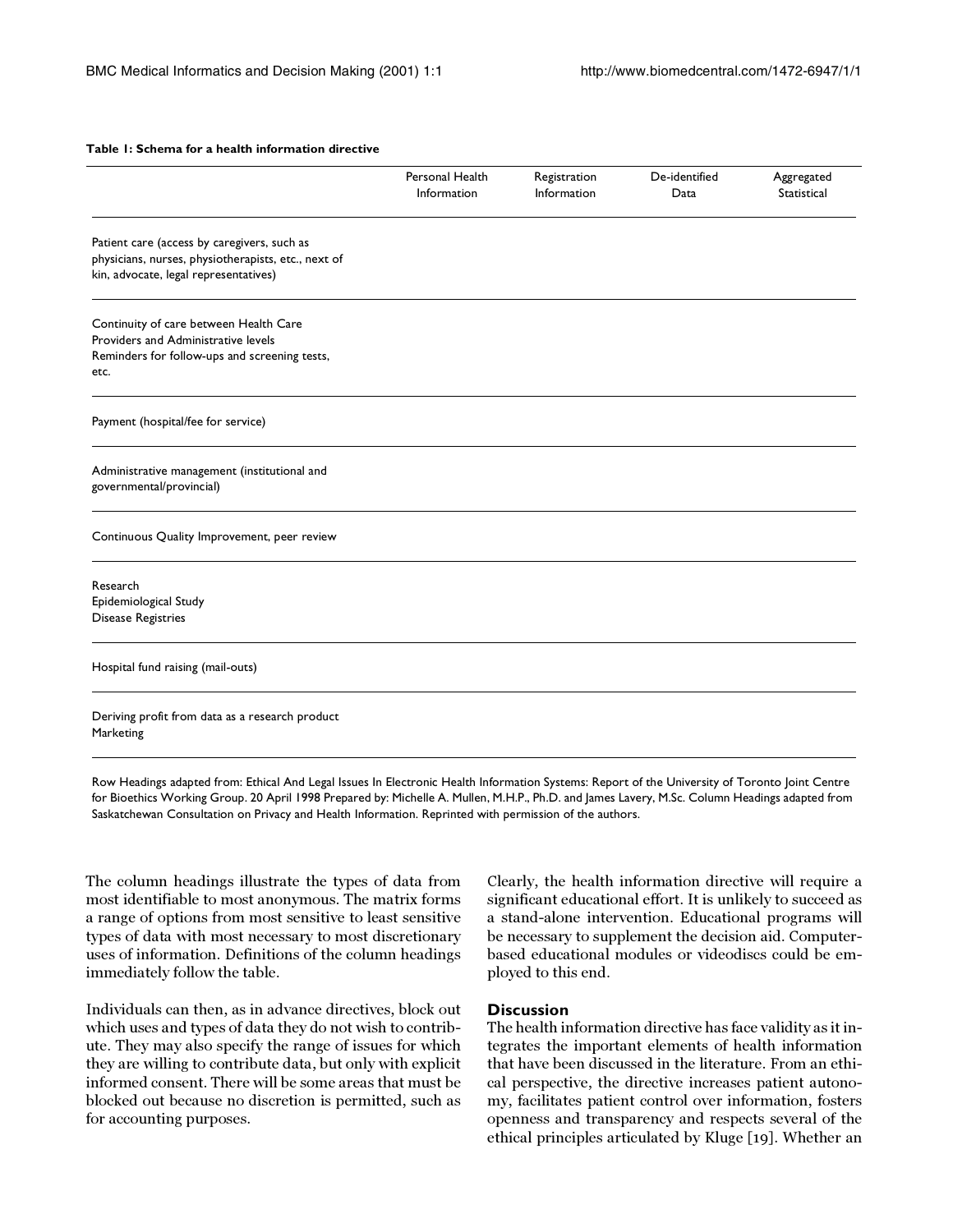### <span id="page-2-0"></span>**Table 1: Schema for a health information directive**

|                                                                                                                                             | Personal Health<br>Information | Registration<br>Information | De-identified<br>Data | Aggregated<br>Statistical |
|---------------------------------------------------------------------------------------------------------------------------------------------|--------------------------------|-----------------------------|-----------------------|---------------------------|
| Patient care (access by caregivers, such as<br>physicians, nurses, physiotherapists, etc., next of<br>kin, advocate, legal representatives) |                                |                             |                       |                           |
| Continuity of care between Health Care<br>Providers and Administrative levels<br>Reminders for follow-ups and screening tests,<br>etc.      |                                |                             |                       |                           |
| Payment (hospital/fee for service)                                                                                                          |                                |                             |                       |                           |
| Administrative management (institutional and<br>governmental/provincial)                                                                    |                                |                             |                       |                           |
| Continuous Quality Improvement, peer review                                                                                                 |                                |                             |                       |                           |
| Research<br>Epidemiological Study<br><b>Disease Registries</b>                                                                              |                                |                             |                       |                           |
| Hospital fund raising (mail-outs)                                                                                                           |                                |                             |                       |                           |
| Deriving profit from data as a research product<br>Marketing                                                                                |                                |                             |                       |                           |

Row Headings adapted from: Ethical And Legal Issues In Electronic Health Information Systems: Report of the University of Toronto Joint Centre for Bioethics Working Group. 20 April 1998 Prepared by: Michelle A. Mullen, M.H.P., Ph.D. and James Lavery, M.Sc. Column Headings adapted from Saskatchewan Consultation on Privacy and Health Information. Reprinted with permission of the authors.

The column headings illustrate the types of data from most identifiable to most anonymous. The matrix forms a range of options from most sensitive to least sensitive types of data with most necessary to most discretionary uses of information. Definitions of the column headings immediately follow the table.

Individuals can then, as in advance directives, block out which uses and types of data they do not wish to contribute. They may also specify the range of issues for which they are willing to contribute data, but only with explicit informed consent. There will be some areas that must be blocked out because no discretion is permitted, such as for accounting purposes.

Clearly, the health information directive will require a significant educational effort. It is unlikely to succeed as a stand-alone intervention. Educational programs will be necessary to supplement the decision aid. Computerbased educational modules or videodiscs could be employed to this end.

### **Discussion**

The health information directive has face validity as it integrates the important elements of health information that have been discussed in the literature. From an ethical perspective, the directive increases patient autonomy, facilitates patient control over information, fosters openness and transparency and respects several of the ethical principles articulated by Kluge [\[19\]](#page-3-15). Whether an